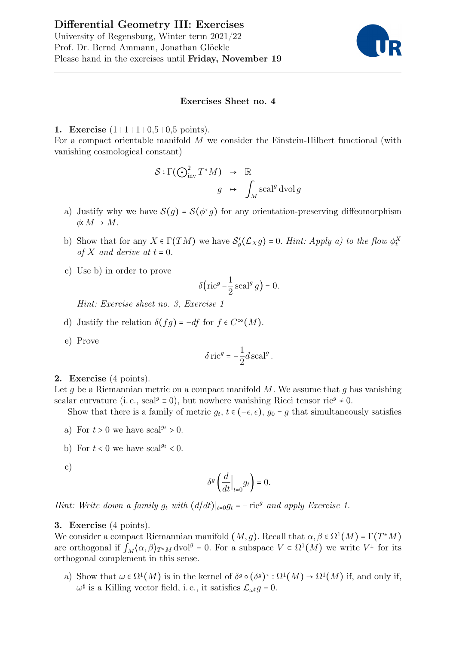

## Exercises Sheet no. 4

1. Exercise  $(1+1+1+0,5+0,5 \text{ points}).$ 

For a compact orientable manifold M we consider the Einstein-Hilbert functional (with vanishing cosmological constant)

$$
S: \Gamma(\bigodot_{\text{inv}}^2 T^*M) \rightarrow \mathbb{R}
$$

$$
g \rightarrow \int_M \text{scal}^g \text{dvol } g
$$

- a) Justify why we have  $\mathcal{S}(g) = \mathcal{S}(\phi^*g)$  for any orientation-preserving diffeomorphism  $\phi: M \to M$ .
- b) Show that for any  $X \in \Gamma(TM)$  we have  $S'_g(\mathcal{L}_X g) = 0$ . Hint: Apply a) to the flow  $\phi_t^X$ of X and derive at  $t = 0$ .
- c) Use b) in order to prove

$$
\delta\bigl(\mathop{\rm ric}\nolimits^g-\frac{1}{2}\mathop{\rm scal}\nolimits^g g\bigr)=0.
$$

Hint: Exercise sheet no. 3, Exercise 1

- d) Justify the relation  $\delta(fg) = -df$  for  $f \in C^{\infty}(M)$ .
- e) Prove

$$
\delta \,\mathrm{ric}^g = -\frac{1}{2}d\,\mathrm{scal}^g\,.
$$

## 2. Exercise (4 points).

Let q be a Riemannian metric on a compact manifold M. We assume that q has vanishing scalar curvature (i.e., scal<sup> $g \equiv 0$ </sup>), but nowhere vanishing Ricci tensor ric<sup> $g \neq 0$ </sup>.

Show that there is a family of metric  $g_t$ ,  $t \in (-\epsilon, \epsilon)$ ,  $g_0 = g$  that simultaneously satisfies

- a) For  $t > 0$  we have  $\text{scal}^{g_t} > 0$ .
- b) For  $t < 0$  we have scal<sup> $g_t < 0$ </sup>.

c)

$$
\delta^g \left( \frac{d}{dt} \Big|_{t=0} g_t \right) = 0.
$$

Hint: Write down a family  $g_t$  with  $(d/dt)|_{t=0}g_t = -\mathrm{ric}^g$  and apply Exercise 1.

## 3. Exercise (4 points).

We consider a compact Riemannian manifold  $(M, g)$ . Recall that  $\alpha, \beta \in \Omega^1(M) = \Gamma(T^*M)$ are orthogonal if  $\int_M \langle \alpha, \beta \rangle_{T^*M}$  dvol<sup>g</sup> = 0. For a subspace  $V \subset \Omega^1(M)$  we write  $V^{\perp}$  for its orthogonal complement in this sense.

a) Show that  $\omega \in \Omega^1(M)$  is in the kernel of  $\delta^g \circ (\delta^g)^* : \Omega^1(M) \to \Omega^1(M)$  if, and only if,  $\omega^{\sharp}$  is a Killing vector field, i.e., it satisfies  $\mathcal{L}_{\omega^{\sharp}}g = 0$ .